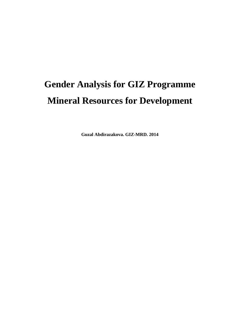# **Gender Analysis for GIZ Programme Mineral Resources for Development**

**Guzal Abdirazakova. GIZ-MRD. 2014**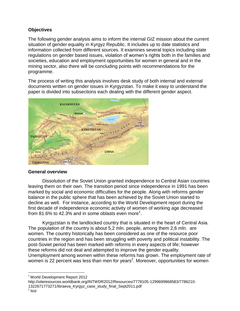## **Objectives**

The following gender analysis aims to inform the internal GIZ mission about the current situation of gender equality in Kyrgyz Republic. It includes up to date statistics and information collected from different sources. It examines several topics including state regulations on gender based issues, violation of women's rights both in the families and societies, education and employment opportunities for women in general and in the mining sector, also there will be concluding points with recommendations for the programme.

The process of writing this analysis involves desk study of both internal and external documents written on gender issues in Kyrgyzstan. To make it easy to understand the paper is divided into subsections each dealing with the different gender aspect.



## **General overview**

Dissolution of the Soviet Union granted independence to Central Asian countries leaving them on their own. The transition period since independence in 1991 has been marked by social and economic difficulties for the people. Along with reforms gender balance in the public sphere that has been achieved by the Soviet Union started to decline as well. For instance, according to the World Development report during the first decade of independence economic activity of women of working age decreased from 81.6% to 42.3% and in some oblasts even more<sup>1</sup>.

Kyrgyzstan is the landlocked country that is situated in the heart of Central Asia. The population of the country is about 5,2 mln. people, among them 2,6 mln. are women. The country historically has been considered as one of the resource poor countries in the region and has been struggling with poverty and political instability. The post-Soviet period has been marked with reforms in every aspects of life; however these reforms did not deal and attempted to improve the gender equality. Unemployment among women within these reforms has grown. The employment rate of women is 22 percent was less than men for years<sup>2</sup>. Moreover, opportunities for women

 $\overline{\phantom{a}}$ <sup>1</sup> World Development Report 2012

http://siteresources.worldbank.org/INTWDR2012/Resources/7778105-1299699968583/7786210-

1322671773271/Ibraeva\_Kyrgyz\_case\_study\_final\_Sept2011.pdf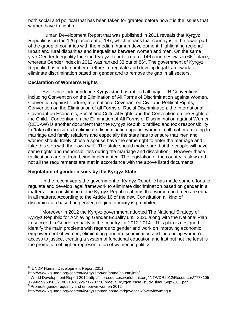both social and political that has been taken for granted before now it is the issues that women have to fight for.

Human Development Report that was published in 2011 reveals that Kyrgyz Republic is on the 126 places out of 187, which means that country is in the lower part of the group of countries with the medium human development, highlighting regional urban and rural disparities and inequalities between women and men. On the same year Gender Inequality Index in Kyrgyz Republic out of 146 countries was in 66<sup>th</sup> place, whereas Gender Index in 2012 was ranked 33 out of 86<sup>3</sup>. The government of Kyrgyz Republic has made number of efforts to regulate and develop legal framework to eliminate discrimination based on gender and to remove the gap in all sectors.

## **Declaration of Women's Rights**

Ever since independence Kyrgyzstan has ratified all major UN Conventions including Convention on the Elimination of All Forms of Discrimination against Women, Convention against Torture, International Covenant on Civil and Political Rights, Convention on the Elimination of all Forms of Racial Discrimination, the International Covenant on Economic, Social and Cultural Rights and the Convention on the Rights of the Child. Convention on the Elimination of All Forms of Discrimination against Women (CEDAW) is another document that the Kyrgyz Republic ratified and took responsibility to "take all measures to eliminate discrimination against women in all matters relating to marriage and family relations and especially the state has to ensure that men and women should freely chose a spouse have the same right to enter the marriage and take this step with their own will<sup>4</sup>. The state should make sure that the couple will have same rights and responsibilities during the marriage and dissolution. However these ratifications are far from being implemented. The legislation of the country is slow and not all the requirements are met in accordance with the above listed documents.

## **Regulation of gender issues by the Kyrgyz State**

In the recent years the government of Kyrgyz Republic has made some efforts to regulate and develop legal framework to eliminate discrimination based on gender in all matters. The constitution of the Kyrgyz Republic affirms that women and men are equal in all matters. According to the Article 16 of the new Constitution all kind of discrimination based on gender, religion ethnicity is prohibited.

Moreover in 2012 the Kyrgyz government adopted The National Strategy of Kyrgyz Republic for Achieving Gender Equality until 2020 along with the National Plan to succeed in Gender equality in the country for 2012-2014<sup>5</sup>. This plan is designed to identify the main problems with regards to gender and work on improving economic empowerment of women, eliminating gender discrimination and increasing women's access to justice, creating a system of functional education and last but not the least is the promotion of higher representation of women in politics.

 3 UNDP Human Development Report 2011

http://www.kg.undp.org/content/kyrgyzstan/en/home/countryinfo/

<sup>4</sup> World Development Report 2012 http://siteresources.worldbank.org/INTWDR2012/Resources/7778105- 1299699968583/7786210-1322671773271/Ibraeva\_Kyrgyz\_case\_study\_final\_Sept2011.pdf 5 Promote gender equality and empower women 2012

http://www.kg.undp.org/content/kyrgyzstan/en/home/mdgoverview/overview/mdg3/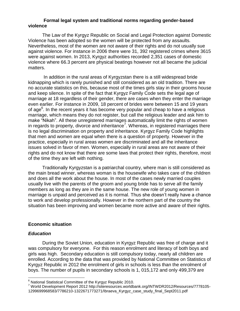#### **Formal legal system and traditional norms regarding gender-based violence**

The Law of the Kyrgyz Republic on Social and Legal Protection against Domestic Violence has been adopted so the women will be protected from any assaults. Nevertheless, most of the women are not aware of their rights and do not usually sue against violence. For instance in 2006 there were 31, 392 registered crimes where 3615 were against women. In 2013, Kyrgyz authorities recorded 2,351 cases of domestic violence where 66.3 percent are physical beatings however not all became the judicial matters.

In addition in the rural areas of Kyrgyzstan there is a still widespread bride kidnapping which is rarely punished and still considered as an old tradition. There are no accurate statistics on this, because most of the times girls stay in their grooms house and keep silence. In spite of the fact that Kyrgyz Family Code sets the legal age of marriage at 18 regardless of their gender, there are cases when they enter the marriage even earlier. For instance in 2009, 18 percent of brides were between 15 and 19 years of age<sup>6</sup>. In the recent years it has become very popular and cheap to have a religious marriage, which means they do not register, but call the religious leader and ask him to make "Nikah". All these unregistered marriages automatically limit the rights of women in regards to property, divorce and inheritance<sup>7</sup>. Whereas, in registered marriages there is no legal discrimination on property and inheritance. Kyrgyz Family Code highlights that men and women are equal when there is a question of property. However in the practice, especially in rural areas women are discriminated and all the inheritance issues solved in favor of men. Women, especially in rural areas are not aware of their rights and do not know that there are some laws that protect their rights, therefore, most of the time they are left with nothing.

Traditionally Kyrgyzstan is a patriarchal country, where man is still considered as the main bread winner, whereas woman is the housewife who takes care of the children and does all the work about the house. In most of the cases newly married couples usually live with the parents of the groom and young bride has to serve all the family members as long as they are in the same house. The new role of young women in marriage is unpaid and perceived as it is normal. Thus she doesn't really have a chance to work and develop professionally. However in the northern part of the country the situation has been improving and women became more active and aware of their rights.

#### **Economic situation**

#### *Education*

 $\overline{\phantom{a}}$ 

During the Soviet Union, education in Kyrgyz Republic was free of charge and it was compulsory for everyone. For this reason enrolment and literacy of both boys and girls was high. Secondary education is still compulsory today, nearly all children are enrolled. According to the data that was provided by National Committee on Statistics of Kyrgyz Republic in 2012 the enrolment of girls in schools is less than the enrolment of boys. The number of pupils in secondary schools is 1, 015,172 and only 499,379 are

 $6$  National Statistical Committee of the Kyrgyz Republic 2010.

<sup>7</sup> World Development Report 2012 http://siteresources.worldbank.org/INTWDR2012/Resources/7778105- 1299699968583/7786210-1322671773271/Ibraeva\_Kyrgyz\_case\_study\_final\_Sept2011.pdf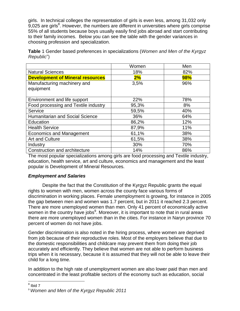girls. In technical colleges the representation of girls is even less, among 31,032 only  $9,025$  are girls $8$ . However, the numbers are different in universities where girls comprise 55% of all students because boys usually easily find jobs abroad and start contributing to their family incomes. Below you can see the table with the gender variances in choosing profession and specialization.

|                                         | Women | Men |
|-----------------------------------------|-------|-----|
| <b>Natural Sciences</b>                 | 18%   | 82% |
| <b>Development of Mineral resources</b> | 2%    | 98% |
| Manufacturing machinery and             | 3,5%  | 96% |
| equipment                               |       |     |
| Environment and life support            | 22%   | 78% |
| Food processing and Textile industry    | 95,3% | 8%  |
| Service                                 | 59,5% | 40% |
| Humanitarian and Social Science         | 36%   | 64% |
| Education                               | 86,2% | 12% |
| <b>Health Service</b>                   | 87,9% | 11% |
| <b>Economics and Management</b>         | 61,1% | 38% |
| Art and Culture                         | 61,5% | 38% |
| Industry                                | 30%   | 70% |
| Construction and architecture           | 14%   | 86% |

**Table** 1 Gender based preferences in specializations (*Women and Men of the Kyrgyz Republic*")

The most popular specializations among girls are food processing and Textile industry, education, health service, art and culture, economics and management and the least popular is Development of Mineral Resources.

## *Employment and Salaries*

Despite the fact that the Constitution of the Kyrgyz Republic grants the equal rights to women with men, women across the county face various forms of discrimination in working places. Female unemployment is growing, for instance in 2005 the gap between men and women was 1.7 percent, but in 2011 it reached 2.3 percent. There are more unemployed women than men. Only 41 percent of economically active women in the country have jobs<sup>9</sup>. Moreover, it is important to note that in rural areas there are more unemployed women than in the cities. For instance in Naryn province 70 percent of women do not have jobs.

Gender discrimination is also noted in the hiring process, where women are deprived from job because of their reproductive roles. Most of the employers believe that due to the domestic responsibilities and childcare may prevent them from doing their job accurately and efficiently. They believe that women are not able to perform business trips when it is necessary, because it is assumed that they will not be able to leave their child for a long time.

In addition to the high rate of unemployment women are also lower paid than men and concentrated in the least profitable sectors of the economy such as education, social

 $\overline{8}$  Ibid 7

<sup>9</sup> *Women and Men of the Kyrgyz Republic 2011*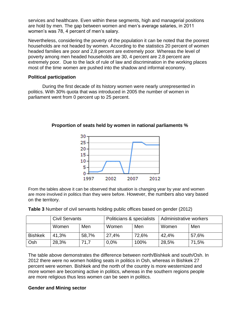services and healthcare. Even within these segments, high and managerial positions are hold by men. The gap between women and men's average salaries, in 2011 women's was 78, 4 percent of men's salary.

Nevertheless, considering the poverty of the population it can be noted that the poorest households are not headed by women. According to the statistics 20 percent of women headed families are poor and 2,8 percent are extremely poor. Whereas the level of poverty among men headed households are 30, 4 percent are 2.8 percent are extremely poor. Due to the lack of rule of law and discrimination in the working places most of the time women are pushed into the shadow and informal economy.

### **Political participation**

During the first decade of its history women were nearly unrepresented in politics. With 30% quota that was introduced in 2005 the number of women in parliament went from 0 percent up to 25 percent.



## **Proportion of seats held by women in national parliaments %**

From the tables above it can be observed that situation is changing year by year and women are more involved in politics than they were before. However, the numbers also vary based on the territory.

|  | Table 3 Number of civil servants holding public offices based on gender (2012) |  |
|--|--------------------------------------------------------------------------------|--|
|--|--------------------------------------------------------------------------------|--|

|                | <b>Civil Servants</b> |       | Politicians & specialists |       | Administrative workers |       |
|----------------|-----------------------|-------|---------------------------|-------|------------------------|-------|
|                | Women                 | Men   | Women                     | Men   | Women                  | Men   |
| <b>Bishkek</b> | 41,3%                 | 58,7% | 27,4%                     | 72,6% | 42,4%                  | 57,6% |
| Osh            | 28,3%                 | 71.7  | $0.0\%$                   | 100%  | 28,5%                  | 71,5% |

The table above demonstrates the difference between north/Bishkek and south/Osh. In 2012 there were no women holding seats in politics in Osh, whereas in Bishkek 27 percent were women. Bishkek and the north of the country is more westernized and more women are becoming active in politics, whereas in the southern regions people are more religious thus less women can be seen in politics.

## **Gender and Mining sector**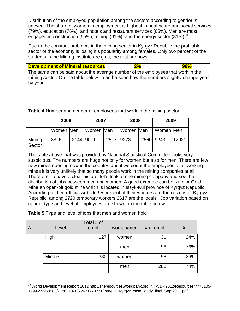Distribution of the employed population among the sectors according to gender is uneven. The share of women in employment is highest in healthcare and social services (79%), education (76%), and hotels and restaurant services (65%). Men are most engaged in construction (95%), mining (91%), and the energy sector  $(81\%)^{10}$ .

Due to the constant problems in the mining sector in Kyrgyz Republic the profitable sector of the economy is losing it's popularity among females. Only two percent of the students in the Mining Institute are girls, the rest are boys.

|  | <b>Development of Mineral resources</b> |  |  |
|--|-----------------------------------------|--|--|
|--|-----------------------------------------|--|--|

The same can be said about the average number of the employees that work in the mining sector. On the table below it can be seen how the numbers slightly change year by year.

**Table 4** Number and gender of employees that work in the mining sector

|                  | 2006      |            | 2007      |              | 2008 |            | 2009                  |       |
|------------------|-----------|------------|-----------|--------------|------|------------|-----------------------|-------|
|                  | Women Men |            | Women Men |              |      |            | Women Men   Women Men |       |
| Mining<br>Sector | 8816      | 12144 9011 |           | $12517$ 9273 |      | 12560 9243 |                       | 12921 |

The table above that was provided by National Statistical Committee looks very suspicious. The numbers are huge not only for women but also for men. There are few new mines opening now in the country, and if we count the employees of all working mines it is very unlikely that so many people work in the mining companies at all. Therefore, to have a clear picture, let's look at one mining company and see the distribution of jobs between men and women. A good example can be Kumtor Gold Mine an open-pit gold mine which is located in Issyk-Kul province of Kyrgyz Republic. According to their official website 95 percent of their workers are the citizens of Kyrgyz Republic, among 2720 temporary workers 2617 are the locals. Job variation based on gender type and level of employees are shown on the table below.

| $\overline{A}$ | Level  | Total # of<br>empl | women/men | # of empl | %   |
|----------------|--------|--------------------|-----------|-----------|-----|
|                | High   | 127                | women     | 31        | 24% |
|                |        |                    | men       | 96        | 76% |
|                | Middle | 380                | women     | 98        | 26% |
|                |        |                    | men       | 282       | 74% |

l <sup>10</sup> World Development Report 2012 http://siteresources.worldbank.org/INTWDR2012/Resources/7778105-1299699968583/7786210-1322671773271/Ibraeva\_Kyrgyz\_case\_study\_final\_Sept2011.pdf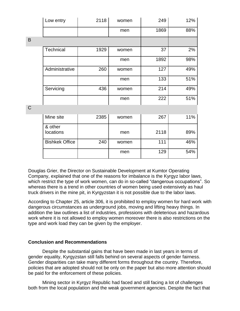|             | Low entry             | 2118 | women | 249  | 12% |
|-------------|-----------------------|------|-------|------|-----|
|             |                       |      | men   | 1869 | 88% |
| B           |                       |      |       |      |     |
|             | <b>Technical</b>      | 1929 | women | 37   | 2%  |
|             |                       |      | men   | 1892 | 98% |
|             | Administrative        | 260  | women | 127  | 49% |
|             |                       |      | men   | 133  | 51% |
|             | Servicing             | 436  | women | 214  | 49% |
|             |                       |      | men   | 222  | 51% |
| $\mathsf C$ |                       |      |       |      |     |
|             | Mine site             | 2385 | women | 267  | 11% |
|             | & other<br>locations  |      | men   | 2118 | 89% |
|             | <b>Bishkek Office</b> | 240  | women | 111  | 46% |
|             |                       |      | men   | 129  | 54% |

Douglas Grier, the Director on Sustainable Development at Kumtor Operating Company, explained that one of the reasons for imbalance is the Kyrgyz labor laws, which restrict the type of work women, can do in so-called "dangerous occupations". So whereas there is a trend in other countries of women being used extensively as haul truck drivers in the mine pit, in Kyrgyzstan it is not possible due to the labor laws.

According to Chapter 25, article 306, it is prohibited to employ women for hard work with dangerous circumstances as underground jobs, moving and lifting heavy things. In addition the law outlines a list of industries, professions with deleterious and hazardous work where it is not allowed to employ women moreover there is also restrictions on the type and work load they can be given by the employer.

#### **Conclusion and Recommendations**

Despite the substantial gains that have been made in last years in terms of gender equality, Kyrgyzstan still falls behind on several aspects of gender fairness. Gender disparities can take many different forms throughout the country. Therefore, policies that are adopted should not be only on the paper but also more attention should be paid for the enforcement of these policies.

Mining sector in Kyrgyz Republic had faced and still facing a lot of challenges both from the local population and the weak government agencies. Despite the fact that